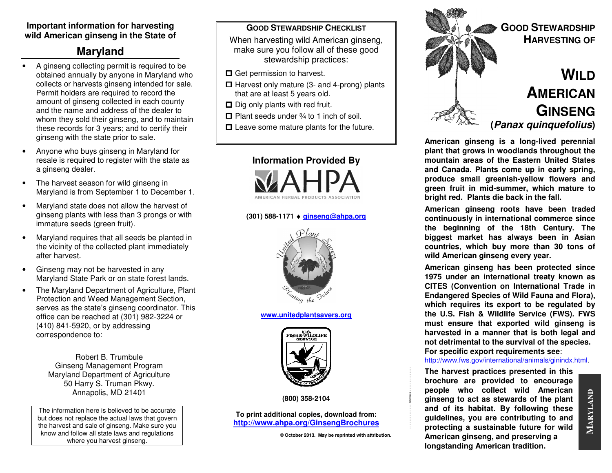# **Important information for harvesting wild American ginseng in the State of**

# **Maryland**

- A ginseng collecting permit is required to be obtained annually by anyone in Maryland who collects or harvests ginseng intended for sale. Permit holders are required to record the amount of ginseng collected in each county and the name and address of the dealer to whom they sold their ginseng, and to maintain these records for 3 years; and to certify their ginseng with the state prior to sale.
- Anyone who buys ginseng in Maryland for resale is required to register with the state as a ginseng dealer.
- The harvest season for wild ginseng in Maryland is from September 1 to December 1.
- Maryland state does not allow the harvest of ginseng plants with less than 3 prongs or with immature seeds (green fruit).
- Maryland requires that all seeds be planted in the vicinity of the collected plant immediately after harvest.
- Ginseng may not be harvested in any Maryland State Park or on state forest lands.
- The Maryland Department of Agriculture, Plant Protection and Weed Management Section, serves as the state's ginseng coordinator. This office can be reached at (301) 982-3224 or (410) 841-5920, or by addressing correspondence to:

Robert B. Trumbule Ginseng Management Program Maryland Department of Agriculture 50 Harry S. Truman Pkwy. Annapolis, MD 21401

The information here is believed to be accurate but does not replace the actual laws that govern the harvest and sale of ginseng. Make sure you know and follow all state laws and regulations where you harvest ginseng.

#### **GOOD STEWARDSHIP CHECKLIST**

 When harvesting wild American ginseng, make sure you follow all of these good stewardship practices:

- **□** Get permission to harvest.
- $\Box$  Harvest only mature (3- and 4-prong) plants that are at least 5 years old.
- $\Box$  Dig only plants with red fruit.
- $\Box$  Plant seeds under  $\frac{3}{4}$  to 1 inch of soil.
- $\square$  Leave some mature plants for the future.



# **(301) 588-1171** ♦ **ginseng@ahpa.org**



**www.unitedplantsavers.org**



**(800) 358-2104** 

#### **To print additional copies, download from: http://www.ahpa.org/GinsengBrochures**

**© October 2013. May be reprinted with attribution.**

- - - - - - - - - - - - - fold here - - - - - - - - - - - - - -



**American ginseng is a long-lived perennial plant that grows in woodlands throughout the mountain areas of the Eastern United States and Canada. Plants come up in early spring, produce small greenish-yellow flowers and green fruit in mid-summer, which mature to bright red. Plants die back in the fall.** 

**American ginseng roots have been traded continuously in international commerce since the beginning of the 18th Century. The biggest market has always been in Asian countries, which buy more than 30 tons of wild American ginseng every year.** 

**American ginseng has been protected since 1975 under an international treaty known as CITES (Convention on International Trade in Endangered Species of Wild Fauna and Flora), which requires its export to be regulated by the U.S. Fish & Wildlife Service (FWS). FWS must ensure that exported wild ginseng is harvested in a manner that is both legal and not detrimental to the survival of the species. For specific export requirements see**:

#### http://www.fws.gov/international/animals/ginindx.html.

**The harvest practices presented in this brochure are provided to encourage people who collect wild American ginseng to act as stewards of the plant and of its habitat. By following these guidelines, you are contributing to and protecting a sustainable future for wild American ginseng, and preserving a longstanding American tradition.**